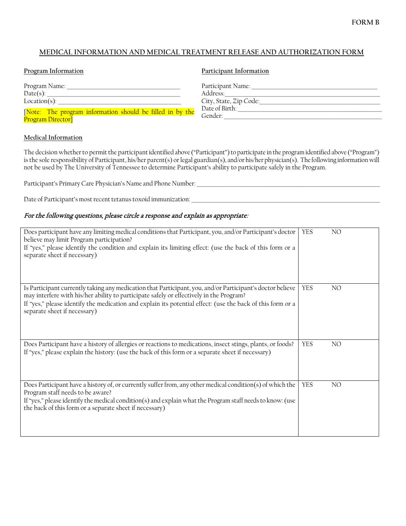## **FORM B**

## **MEDICAL INFORMATION AND MEDICAL TREATMENT RELEASE AND AUTHORIZATION FORM**

| Program Information                                       | Participant Information |
|-----------------------------------------------------------|-------------------------|
| Program Name:                                             | Participant Name:       |
| Date(s):                                                  | Address:                |
| $Location(s)$ :                                           | City, State, Zip Code:  |
| [Note: The program information should be filled in by the | Date of Birth:          |
| Program Director <sup>1</sup>                             | Gender:                 |

### **Medical Information**

The decision whether to permit the participant identified above ("Participant") to participate in the program identified above ("Program") is the sole responsibility of Participant, his/her parent(s) or legal guardian(s), and/or his/her physician(s). The following information will not be used by The University of Tennessee to determine Participant's ability to participate safely in the Program.

Participant's Primary Care Physician's Name and Phone Number:\_\_\_\_\_\_\_\_\_\_\_\_\_\_\_\_\_\_\_\_\_\_\_\_\_\_\_\_\_\_\_\_\_\_\_\_\_\_\_\_\_\_\_\_\_\_\_\_\_\_\_\_\_\_\_\_\_\_\_\_\_\_\_\_\_\_\_\_\_\_\_\_\_\_\_\_

Date of Participant's most recent tetanus toxoid immunization:\_\_\_\_\_\_\_\_\_\_\_\_\_\_\_\_\_\_\_\_\_\_\_\_\_\_\_\_\_\_\_\_\_\_\_\_\_\_\_\_\_\_\_\_\_\_\_\_\_\_\_\_\_\_\_\_\_\_\_\_\_\_\_\_\_\_\_\_\_\_\_\_\_\_\_\_\_\_

### For the following questions, please circle a response and explain as appropriate:

| Does participant have any limiting medical conditions that Participant, you, and/or Participant's doctor<br>believe may limit Program participation?<br>If "yes," please identify the condition and explain its limiting effect: (use the back of this form or a<br>separate sheet if necessary)                                                   | <b>YES</b> | NO              |
|----------------------------------------------------------------------------------------------------------------------------------------------------------------------------------------------------------------------------------------------------------------------------------------------------------------------------------------------------|------------|-----------------|
| Is Participant currently taking any medication that Participant, you, and/or Participant's doctor believe<br>may interfere with his/her ability to participate safely or effectively in the Program?<br>If "yes," please identify the medication and explain its potential effect: (use the back of this form or a<br>separate sheet if necessary) | <b>YES</b> | NO              |
| Does Participant have a history of allergies or reactions to medications, insect stings, plants, or foods?<br>If "yes," please explain the history: (use the back of this form or a separate sheet if necessary)                                                                                                                                   | <b>YES</b> | NO.             |
| Does Participant have a history of, or currently suffer from, any other medical condition(s) of which the<br>Program staff needs to be aware?<br>If "yes," please identify the medical condition(s) and explain what the Program staff needs to know: (use<br>the back of this form or a separate sheet if necessary)                              | <b>YES</b> | NO <sub>1</sub> |